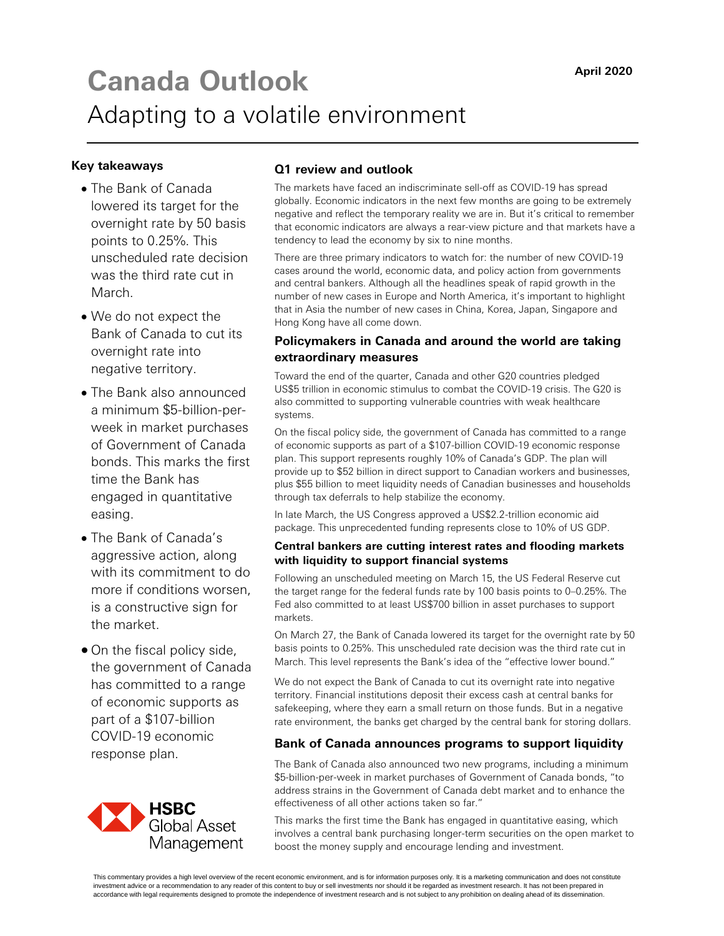# **Canada Outlook April 2020** Adapting to a volatile environment

#### **Key takeaways**

- The Bank of Canada lowered its target for the overnight rate by 50 basis points to 0.25%. This unscheduled rate decision was the third rate cut in March.
- We do not expect the Bank of Canada to cut its overnight rate into negative territory.
- The Bank also announced a minimum \$5-billion-perweek in market purchases of Government of Canada bonds. This marks the first time the Bank has engaged in quantitative easing.
- The Bank of Canada's aggressive action, along with its commitment to do more if conditions worsen, is a constructive sign for the market.
- On the fiscal policy side, the government of Canada has committed to a range of economic supports as part of a \$107-billion COVID-19 economic response plan.



#### **Q1 review and outlook**

The markets have faced an indiscriminate sell-off as COVID-19 has spread globally. Economic indicators in the next few months are going to be extremely negative and reflect the temporary reality we are in. But it's critical to remember that economic indicators are always a rear-view picture and that markets have a tendency to lead the economy by six to nine months.

There are three primary indicators to watch for: the number of new COVID-19 cases around the world, economic data, and policy action from governments and central bankers. Although all the headlines speak of rapid growth in the number of new cases in Europe and North America, it's important to highlight that in Asia the number of new cases in China, Korea, Japan, Singapore and Hong Kong have all come down.

### **Policymakers in Canada and around the world are taking extraordinary measures**

Toward the end of the quarter, Canada and other G20 countries pledged US\$5 trillion in economic stimulus to combat the COVID-19 crisis. The G20 is also committed to supporting vulnerable countries with weak healthcare systems.

On the fiscal policy side, the government of Canada has committed to a range of economic supports as part of a \$107-billion COVID-19 economic response plan. This support represents roughly 10% of Canada's GDP. The plan will provide up to \$52 billion in direct support to Canadian workers and businesses, plus \$55 billion to meet liquidity needs of Canadian businesses and households through tax deferrals to help stabilize the economy.

In late March, the US Congress approved a US\$2.2-trillion economic aid package. This unprecedented funding represents close to 10% of US GDP.

#### **Central bankers are cutting interest rates and flooding markets with liquidity to support financial systems**

Following an unscheduled meeting on March 15, the US Federal Reserve cut the target range for the federal funds rate by 100 basis points to 0–0.25%. The Fed also committed to at least US\$700 billion in asset purchases to support markets.

On March 27, the Bank of Canada lowered its target for the overnight rate by 50 basis points to 0.25%. This unscheduled rate decision was the third rate cut in March. This level represents the Bank's idea of the "effective lower bound."

We do not expect the Bank of Canada to cut its overnight rate into negative territory. Financial institutions deposit their excess cash at central banks for safekeeping, where they earn a small return on those funds. But in a negative rate environment, the banks get charged by the central bank for storing dollars.

#### **Bank of Canada announces programs to support liquidity**

The Bank of Canada also announced two new programs, including a minimum \$5-billion-per-week in market purchases of Government of Canada bonds, "to address strains in the Government of Canada debt market and to enhance the effectiveness of all other actions taken so far."

This marks the first time the Bank has engaged in quantitative easing, which involves a central bank purchasing longer-term securities on the open market to boost the money supply and encourage lending and investment.

This commentary provides a high level overview of the recent economic environment, and is for information purposes only. It is a marketing communication and does not constitute investment advice or a recommendation to any reader of this content to buy or sell investments nor should it be regarded as investment research. It has not been prepared in accordance with legal requirements designed to promote the independence of investment research and is not subject to any prohibition on dealing ahead of its dissemination.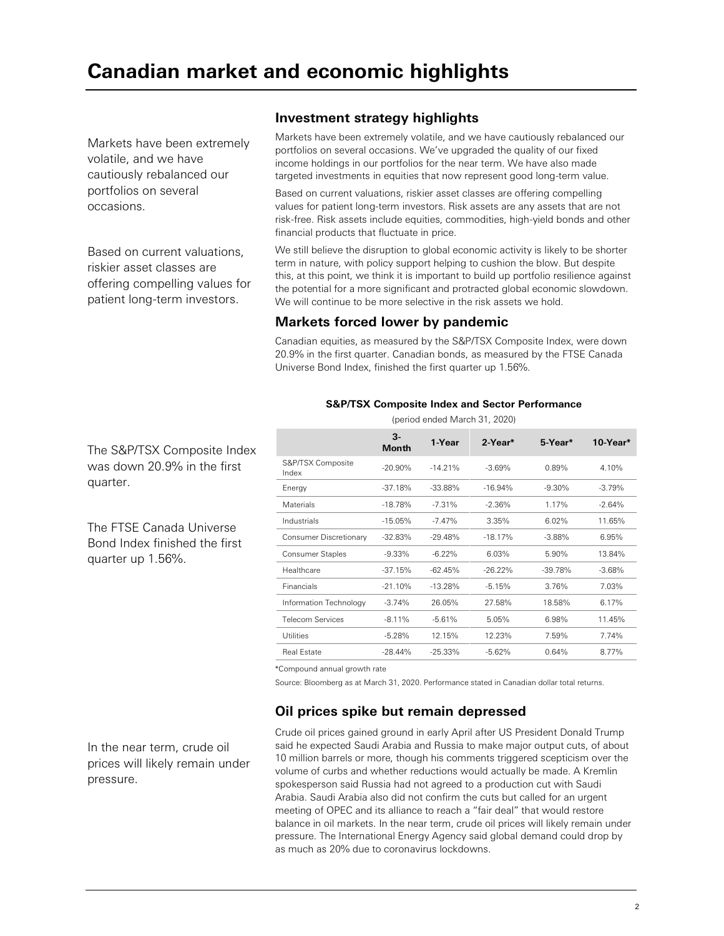Markets have been extremely volatile, and we have cautiously rebalanced our portfolios on several occasions.

Based on current valuations, riskier asset classes are offering compelling values for patient long-term investors.

# **Investment strategy highlights**

Markets have been extremely volatile, and we have cautiously rebalanced our portfolios on several occasions. We've upgraded the quality of our fixed income holdings in our portfolios for the near term. We have also made targeted investments in equities that now represent good long-term value.

Based on current valuations, riskier asset classes are offering compelling values for patient long-term investors. Risk assets are any assets that are not risk-free. Risk assets include equities, commodities, high-yield bonds and other financial products that fluctuate in price.

We still believe the disruption to global economic activity is likely to be shorter term in nature, with policy support helping to cushion the blow. But despite this, at this point, we think it is important to build up portfolio resilience against the potential for a more significant and protracted global economic slowdown. We will continue to be more selective in the risk assets we hold.

# **Markets forced lower by pandemic**

Canadian equities, as measured by the S&P/TSX Composite Index, were down 20.9% in the first quarter. Canadian bonds, as measured by the FTSE Canada Universe Bond Index, finished the first quarter up 1.56%.

#### **S&P/TSX Composite Index and Sector Performance**  (period ended March 31, 2020)

|                            | 3-<br><b>Month</b> | 1-Year     | 2-Year*    | 5-Year*   | 10-Year* |
|----------------------------|--------------------|------------|------------|-----------|----------|
| S&P/TSX Composite<br>Index | $-20.90\%$         | $-14.21%$  | $-3.69%$   | 0.89%     | 4.10%    |
| Energy                     | $-37.18%$          | $-33.88%$  | $-16.94%$  | $-9.30\%$ | $-3.79%$ |
| <b>Materials</b>           | $-18.78%$          | $-7.31%$   | $-2.36%$   | 1.17%     | $-2.64%$ |
| Industrials                | $-15.05%$          | $-7.47%$   | 3.35%      | 6.02%     | 11.65%   |
| Consumer Discretionary     | $-32.83%$          | $-29.48%$  | $-18.17%$  | $-3.88%$  | 6.95%    |
| Consumer Staples           | $-9.33\%$          | $-6.22%$   | 6.03%      | 5.90%     | 13.84%   |
| Healthcare                 | $-37.15%$          | $-62.45%$  | $-26.22\%$ | $-39.78%$ | $-3.68%$ |
| Financials                 | $-21.10%$          | $-13.28%$  | $-5.15%$   | 3.76%     | 7.03%    |
| Information Technology     | $-3.74%$           | 26.05%     | 27.58%     | 18.58%    | 6.17%    |
| <b>Telecom Services</b>    | $-8.11%$           | $-5.61%$   | 5.05%      | 6.98%     | 11.45%   |
| <b>Utilities</b>           | $-5.28%$           | 12.15%     | 12.23%     | 7.59%     | 7.74%    |
| <b>Real Estate</b>         | $-28.44%$          | $-25.33\%$ | $-5.62%$   | 0.64%     | 8.77%    |

\*Compound annual growth rate

Source: Bloomberg as at March 31, 2020. Performance stated in Canadian dollar total returns.

# **Oil prices spike but remain depressed**

In the near term, crude oil prices will likely remain under pressure.

Crude oil prices gained ground in early April after US President Donald Trump said he expected Saudi Arabia and Russia to make major output cuts, of about 10 million barrels or more, though his comments triggered scepticism over the volume of curbs and whether reductions would actually be made. A Kremlin spokesperson said Russia had not agreed to a production cut with Saudi Arabia. Saudi Arabia also did not confirm the cuts but called for an urgent meeting of OPEC and its alliance to reach a "fair deal" that would restore balance in oil markets. In the near term, crude oil prices will likely remain under pressure. The International Energy Agency said global demand could drop by as much as 20% due to coronavirus lockdowns.

The S&P/TSX Composite Index was down 20.9% in the first quarter.

The FTSE Canada Universe Bond Index finished the first quarter up 1.56%.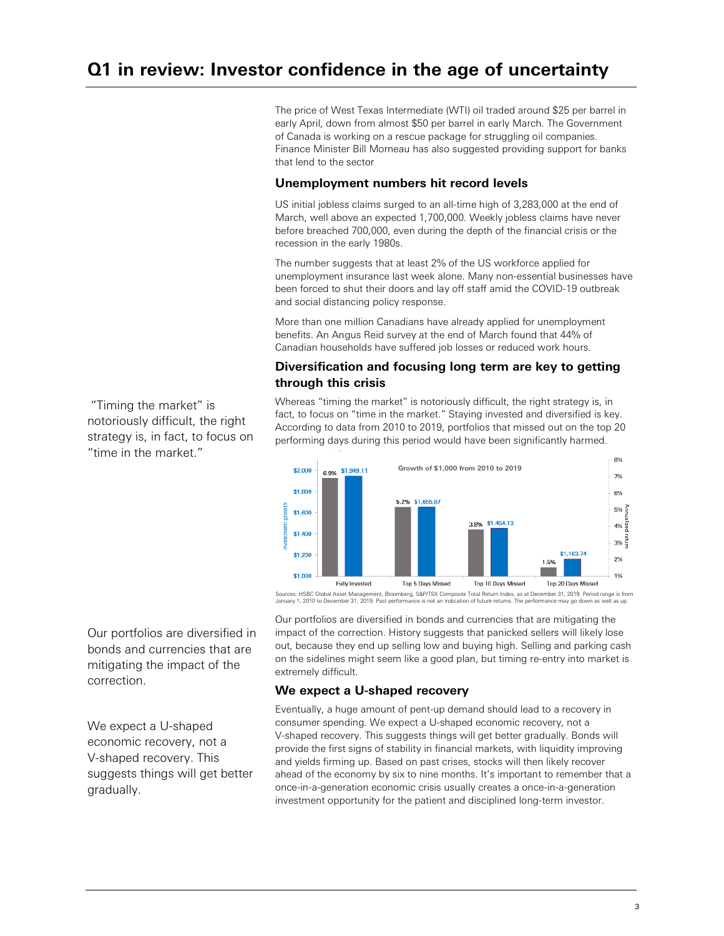The price of West Texas Intermediate (WTI) oil traded around \$25 per barrel in early April, down from almost \$50 per barrel in early March. The Government of Canada is working on a rescue package for struggling oil companies. Finance Minister Bill Morneau has also suggested providing support for banks that lend to the sector

## **Unemployment numbers hit record levels**

US initial jobless claims surged to an all-time high of 3,283,000 at the end of March, well above an expected 1,700,000. Weekly jobless claims have never before breached 700,000, even during the depth of the financial crisis or the recession in the early 1980s.

The number suggests that at least 2% of the US workforce applied for unemployment insurance last week alone. Many non-essential businesses have been forced to shut their doors and lay off staff amid the COVID-19 outbreak and social distancing policy response.

More than one million Canadians have already applied for unemployment benefits. An Angus Reid survey at the end of March found that 44% of Canadian households have suffered job losses or reduced work hours.

## **Diversification and focusing long term are key to getting through this crisis**

Whereas "timing the market" is notoriously difficult, the right strategy is, in fact, to focus on "time in the market." Staying invested and diversified is key. According to data from 2010 to 2019, portfolios that missed out on the top 20 performing days during this period would have been significantly harmed.



Sources: HSBC Global Asset Management, Bloomberg, S&P/TSX Composite Total Return Index, as at December 31, 2019. Period range is from January 1, 2010 to December 31, 2019. Past performance is not an indication of future returns. The performance may go down as well as up.

Our portfolios are diversified in bonds and currencies that are mitigating the impact of the correction.

We expect a U-shaped economic recovery, not a V-shaped recovery. This suggests things will get better gradually.

Our portfolios are diversified in bonds and currencies that are mitigating the impact of the correction. History suggests that panicked sellers will likely lose out, because they end up selling low and buying high. Selling and parking cash on the sidelines might seem like a good plan, but timing re-entry into market is extremely difficult.

### **We expect a U-shaped recovery**

Eventually, a huge amount of pent-up demand should lead to a recovery in consumer spending. We expect a U-shaped economic recovery, not a V-shaped recovery. This suggests things will get better gradually. Bonds will provide the first signs of stability in financial markets, with liquidity improving and yields firming up. Based on past crises, stocks will then likely recover ahead of the economy by six to nine months. It's important to remember that a once-in-a-generation economic crisis usually creates a once-in-a-generation investment opportunity for the patient and disciplined long-term investor.

 "Timing the market" is notoriously difficult, the right strategy is, in fact, to focus on "time in the market."